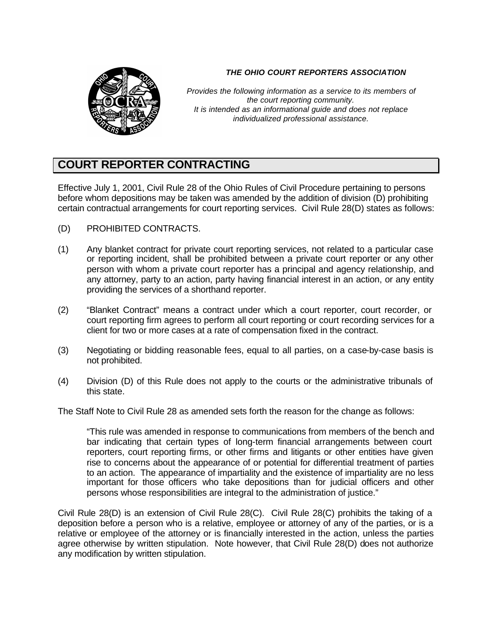

## *THE OHIO COURT REPORTERS ASSOCIATION*

*Provides the following information as a service to its members of the court reporting community. It is intended as an informational guide and does not replace individualized professional assistance.*

## **COURT REPORTER CONTRACTING**

Effective July 1, 2001, Civil Rule 28 of the Ohio Rules of Civil Procedure pertaining to persons before whom depositions may be taken was amended by the addition of division (D) prohibiting certain contractual arrangements for court reporting services. Civil Rule 28(D) states as follows:

- (D) PROHIBITED CONTRACTS.
- (1) Any blanket contract for private court reporting services, not related to a particular case or reporting incident, shall be prohibited between a private court reporter or any other person with whom a private court reporter has a principal and agency relationship, and any attorney, party to an action, party having financial interest in an action, or any entity providing the services of a shorthand reporter.
- (2) "Blanket Contract" means a contract under which a court reporter, court recorder, or court reporting firm agrees to perform all court reporting or court recording services for a client for two or more cases at a rate of compensation fixed in the contract.
- (3) Negotiating or bidding reasonable fees, equal to all parties, on a case-by-case basis is not prohibited.
- (4) Division (D) of this Rule does not apply to the courts or the administrative tribunals of this state.

The Staff Note to Civil Rule 28 as amended sets forth the reason for the change as follows:

"This rule was amended in response to communications from members of the bench and bar indicating that certain types of long-term financial arrangements between court reporters, court reporting firms, or other firms and litigants or other entities have given rise to concerns about the appearance of or potential for differential treatment of parties to an action. The appearance of impartiality and the existence of impartiality are no less important for those officers who take depositions than for judicial officers and other persons whose responsibilities are integral to the administration of justice."

Civil Rule 28(D) is an extension of Civil Rule 28(C). Civil Rule 28(C) prohibits the taking of a deposition before a person who is a relative, employee or attorney of any of the parties, or is a relative or employee of the attorney or is financially interested in the action, unless the parties agree otherwise by written stipulation. Note however, that Civil Rule 28(D) does not authorize any modification by written stipulation.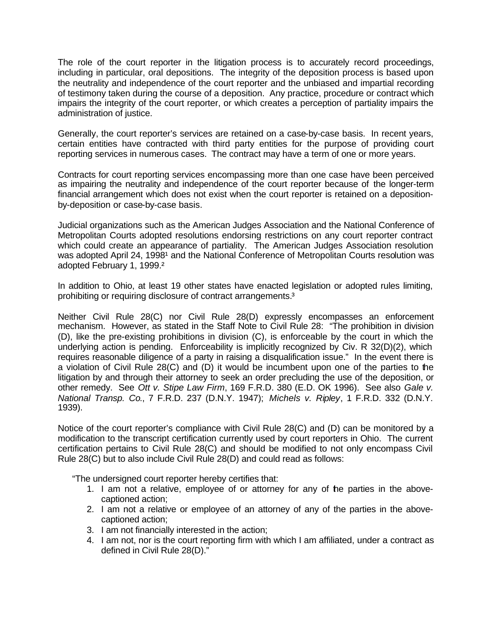The role of the court reporter in the litigation process is to accurately record proceedings, including in particular, oral depositions. The integrity of the deposition process is based upon the neutrality and independence of the court reporter and the unbiased and impartial recording of testimony taken during the course of a deposition. Any practice, procedure or contract which impairs the integrity of the court reporter, or which creates a perception of partiality impairs the administration of justice.

Generally, the court reporter's services are retained on a case-by-case basis. In recent years, certain entities have contracted with third party entities for the purpose of providing court reporting services in numerous cases. The contract may have a term of one or more years.

Contracts for court reporting services encompassing more than one case have been perceived as impairing the neutrality and independence of the court reporter because of the longer-term financial arrangement which does not exist when the court reporter is retained on a depositionby-deposition or case-by-case basis.

Judicial organizations such as the American Judges Association and the National Conference of Metropolitan Courts adopted resolutions endorsing restrictions on any court reporter contract which could create an appearance of partiality. The American Judges Association resolution was adopted April 24, 1998<sup>1</sup> and the National Conference of Metropolitan Courts resolution was adopted February 1, 1999.²

In addition to Ohio, at least 19 other states have enacted legislation or adopted rules limiting, prohibiting or requiring disclosure of contract arrangements.<sup>3</sup>

Neither Civil Rule 28(C) nor Civil Rule 28(D) expressly encompasses an enforcement mechanism. However, as stated in the Staff Note to Civil Rule 28: "The prohibition in division (D), like the pre-existing prohibitions in division (C), is enforceable by the court in which the underlying action is pending. Enforceability is implicitly recognized by Civ. R 32(D)(2), which requires reasonable diligence of a party in raising a disqualification issue." In the event there is a violation of Civil Rule 28(C) and (D) it would be incumbent upon one of the parties to the litigation by and through their attorney to seek an order precluding the use of the deposition, or other remedy. See *Ott v. Stipe Law Firm*, 169 F.R.D. 380 (E.D. OK 1996). See also *Gale v. National Transp. Co*., 7 F.R.D. 237 (D.N.Y. 1947); *Michels v. Ripley*, 1 F.R.D. 332 (D.N.Y. 1939).

Notice of the court reporter's compliance with Civil Rule 28(C) and (D) can be monitored by a modification to the transcript certification currently used by court reporters in Ohio. The current certification pertains to Civil Rule 28(C) and should be modified to not only encompass Civil Rule 28(C) but to also include Civil Rule 28(D) and could read as follows:

"The undersigned court reporter hereby certifies that:

- 1. I am not a relative, employee of or attorney for any of the parties in the abovecaptioned action;
- 2. I am not a relative or employee of an attorney of any of the parties in the abovecaptioned action;
- 3. I am not financially interested in the action;
- 4. I am not, nor is the court reporting firm with which I am affiliated, under a contract as defined in Civil Rule 28(D)."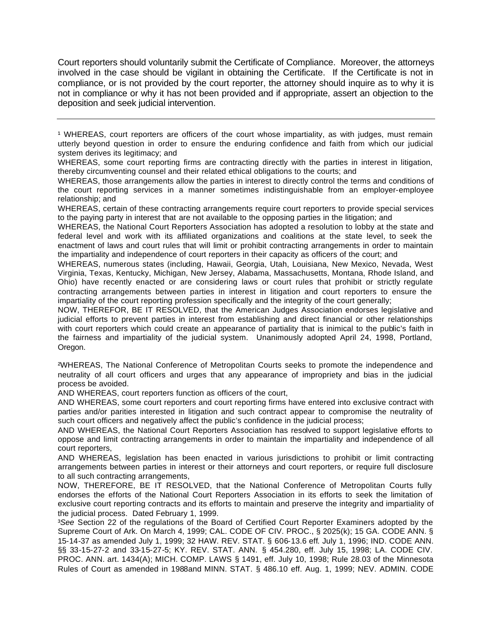Court reporters should voluntarily submit the Certificate of Compliance. Moreover, the attorneys involved in the case should be vigilant in obtaining the Certificate. If the Certificate is not in compliance, or is not provided by the court reporter, the attorney should inquire as to why it is not in compliance or why it has not been provided and if appropriate, assert an objection to the deposition and seek judicial intervention.

<sup>1</sup> WHEREAS, court reporters are officers of the court whose impartiality, as with judges, must remain utterly beyond question in order to ensure the enduring confidence and faith from which our judicial system derives its legitimacy; and

WHEREAS, some court reporting firms are contracting directly with the parties in interest in litigation, thereby circumventing counsel and their related ethical obligations to the courts; and

WHEREAS, those arrangements allow the parties in interest to directly control the terms and conditions of the court reporting services in a manner sometimes indistinguishable from an employer-employee relationship; and

WHEREAS, certain of these contracting arrangements require court reporters to provide special services to the paying party in interest that are not available to the opposing parties in the litigation; and

WHEREAS, the National Court Reporters Association has adopted a resolution to lobby at the state and federal level and work with its affiliated organizations and coalitions at the state level, to seek the enactment of laws and court rules that will limit or prohibit contracting arrangements in order to maintain the impartiality and independence of court reporters in their capacity as officers of the court; and

WHEREAS, numerous states (including, Hawaii, Georgia, Utah, Louisiana, New Mexico, Nevada, West Virginia, Texas, Kentucky, Michigan, New Jersey, Alabama, Massachusetts, Montana, Rhode Island, and Ohio) have recently enacted or are considering laws or court rules that prohibit or strictly regulate contracting arrangements between parties in interest in litigation and court reporters to ensure the impartiality of the court reporting profession specifically and the integrity of the court generally;

NOW, THEREFOR, BE IT RESOLVED, that the American Judges Association endorses legislative and judicial efforts to prevent parties in interest from establishing and direct financial or other relationships with court reporters which could create an appearance of partiality that is inimical to the public's faith in the fairness and impartiality of the judicial system. Unanimously adopted April 24, 1998, Portland, Oregon.

²WHEREAS, The National Conference of Metropolitan Courts seeks to promote the independence and neutrality of all court officers and urges that any appearance of impropriety and bias in the judicial process be avoided.

AND WHEREAS, court reporters function as officers of the court,

AND WHEREAS, some court reporters and court reporting firms have entered into exclusive contract with parties and/or parities interested in litigation and such contract appear to compromise the neutrality of such court officers and negatively affect the public's confidence in the judicial process;

AND WHEREAS, the National Court Reporters Association has resolved to support legislative efforts to oppose and limit contracting arrangements in order to maintain the impartiality and independence of all court reporters,

AND WHEREAS, legislation has been enacted in various jurisdictions to prohibit or limit contracting arrangements between parties in interest or their attorneys and court reporters, or require full disclosure to all such contracting arrangements,

NOW, THEREFORE, BE IT RESOLVED, that the National Conference of Metropolitan Courts fully endorses the efforts of the National Court Reporters Association in its efforts to seek the limitation of exclusive court reporting contracts and its efforts to maintain and preserve the integrity and impartiality of the judicial process. Dated February 1, 1999.

³*See* Section 22 of the regulations of the Board of Certified Court Reporter Examiners adopted by the Supreme Court of Ark. On March 4, 1999; CAL. CODE OF CIV. PROC., § 2025(k); 15 GA. CODE ANN. § 15-14-37 as amended July 1, 1999; 32 HAW. REV. STAT. § 606-13.6 eff. July 1, 1996; IND. CODE ANN. §§ 33-15-27-2 and 33-15-27-5; KY. REV. STAT. ANN. § 454.280, eff. July 15, 1998; LA. CODE CIV. PROC. ANN. art. 1434(A); MICH. COMP. LAWS § 1491, eff. July 10, 1998; Rule 28.03 of the Minnesota Rules of Court as amended in 1988and MINN. STAT. § 486.10 eff. Aug. 1, 1999; NEV. ADMIN. CODE